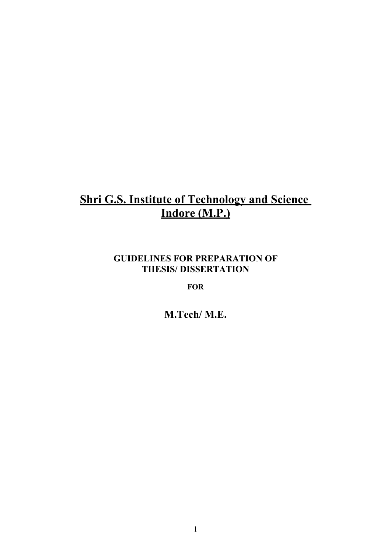## **Shri G.S. Institute of Technology and Science Indore (M.P.)**

#### **GUIDELINES FOR PREPARATION OF THESIS/ DISSERTATION**

**FOR**

**M.Tech/ M.E.**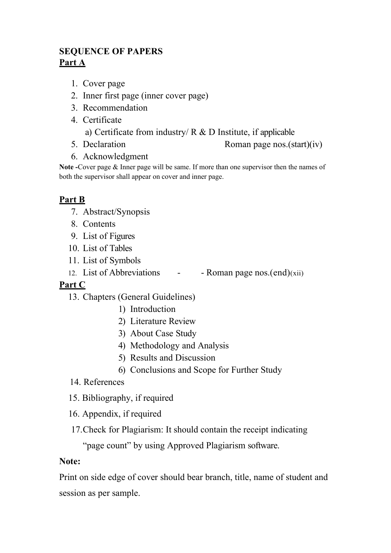#### **SEQUENCE OF PAPERS Part A**

- 1. Cover page
- 2. Inner first page (inner cover page)
- 3. Recommendation
- 4. Certificate
	- a) Certificate from industry/ R & D Institute, if applicable
- 
- 5. Declaration Roman page nos.(start)(iv)
- 6. Acknowledgment

**Note -**Cover page & Inner page will be same. If more than one supervisor then the names of both the supervisor shall appear on cover and inner page.

#### **Part B**

- 7. Abstract/Synopsis
- 8. Contents
- 9. List of Figures
- 10. List of Tables
- 11. List of Symbols
- 12. List of Abbreviations  $\qquad -$  Roman page nos.(end)(xii)

#### **Part C**

13. Chapters (General Guidelines)

- 1) Introduction
- 2) Literature Review
- 3) About Case Study
- 4) Methodology and Analysis
- 5) Results and Discussion
- 6) Conclusions and Scope for Further Study
- 14. References
- 15. Bibliography, if required
- 16. Appendix, if required
- 17.Check for Plagiarism: It should contain the receipt indicating

"page count" by using Approved Plagiarism software.

#### **Note:**

Print on side edge of cover should bear branch, title, name of student and session as per sample.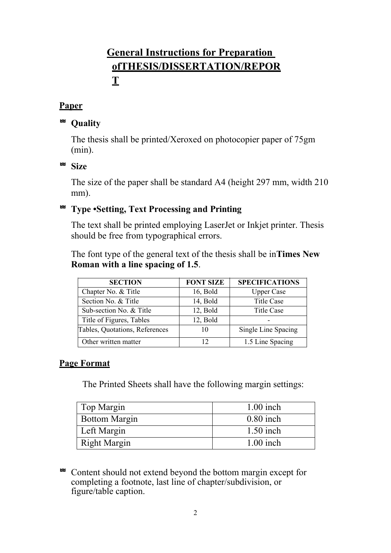## **General Instructions for Preparation ofTHESIS/DISSERTATION/REPOR T**

#### **Paper**

#### **Quality**

The thesis shall be printed/Xeroxed on photocopier paper of 75gm (min).

#### **ER** Size

The size of the paper shall be standard A4 (height 297 mm, width 210 mm).

## **Type •Setting, Text Processing and Printing**

The text shall be printed employing LaserJet or Inkjet printer. Thesis should be free from typographical errors.

The font type of the general text of the thesis shall be in**Times New Roman with a line spacing of 1.5**.

| <b>SECTION</b>                 | <b>FONT SIZE</b> | <b>SPECIFICATIONS</b> |
|--------------------------------|------------------|-----------------------|
| Chapter No. & Title            | 16, Bold         | <b>Upper Case</b>     |
| Section No. & Title            | 14, Bold         | <b>Title Case</b>     |
| Sub-section No. & Title        | 12, Bold         | <b>Title Case</b>     |
| Title of Figures, Tables       | 12, Bold         |                       |
| Tables, Quotations, References | 10               | Single Line Spacing   |
| Other written matter           | 12               | 1.5 Line Spacing      |

#### **Page Format**

The Printed Sheets shall have the following margin settings:

| Top Margin           | $1.00$ inch |
|----------------------|-------------|
| <b>Bottom Margin</b> | $0.80$ inch |
| Left Margin          | $1.50$ inch |
| <b>Right Margin</b>  | $1.00$ inch |

**ED** Content should not extend beyond the bottom margin except for completing a footnote, last line of chapter/subdivision, or figure/table caption.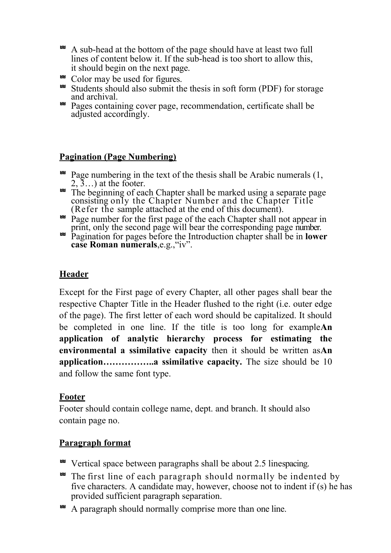- $\mathbf{A}$  sub-head at the bottom of the page should have at least two full lines of content below it. If the sub-head is too short to allow this, it should begin on the next page.
- **EDE** Color may be used for figures.
- Students should also submit the thesis in soft form (PDF) for storage and archival.
- Pages containing cover page, recommendation, certificate shall be adjusted accordingly.

#### **Pagination (Page Numbering)**

- $\mathbf{H}$  Page numbering in the text of the thesis shall be Arabic numerals (1,  $2, 3, \ldots$  at the footer.
- **EXECUTE:** The beginning of each Chapter shall be marked using a separate page consisting only the Chapter Number and the Chapter Title (Refer the sample attached at the end of this document).
- **Page number for the first page of the each Chapter shall not appear in** print, only the second page will bear the corresponding page number.
- Pagination for pages before the Introduction chapter shall be in **lower case Roman numerals**,e.g.,"iv".

#### **Header**

Except for the First page of every Chapter, all other pages shall bear the respective Chapter Title in the Header flushed to the right (i.e. outer edge of the page). The first letter of each word should be capitalized. It should be completed in one line. If the title is too long for example**An application of analytic hierarchy process for estimating the environmental a ssimilative capacity** then it should be written as**An application……………...a ssimilative capacity.** The size should be 10 and follow the same font type.

#### **Footer**

Footer should contain college name, dept. and branch. It should also contain page no.

#### **Paragraph format**

- **EXECUTE:** Vertical space between paragraphs shall be about 2.5 linespacing.
- **EXECUTE:** The first line of each paragraph should normally be indented by five characters. A candidate may, however, choose not to indent if (s) he has provided sufficient paragraph separation.
- <sup>**HH</sup>** A paragraph should normally comprise more than one line.</sup>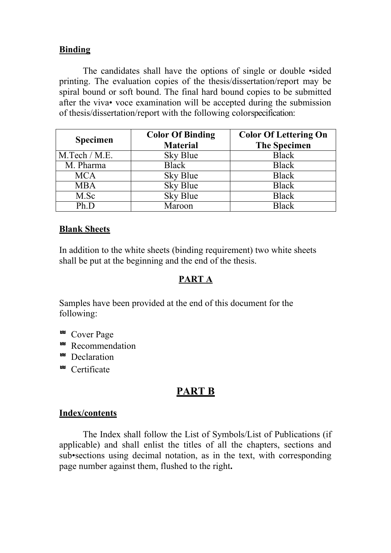#### **Binding**

The candidates shall have the options of single or double •sided printing. The evaluation copies of the thesis/dissertation/report may be spiral bound or soft bound. The final hard bound copies to be submitted after the viva• voce examination will be accepted during the submission of thesis/dissertation/report with the following colorspecification:

| <b>Specimen</b> | <b>Color Of Binding</b> | <b>Color Of Lettering On</b> |
|-----------------|-------------------------|------------------------------|
|                 | <b>Material</b>         | <b>The Specimen</b>          |
| M.Tech / M.E.   | Sky Blue                | <b>Black</b>                 |
| M. Pharma       | <b>Black</b>            | <b>Black</b>                 |
| <b>MCA</b>      | Sky Blue                | <b>Black</b>                 |
| <b>MBA</b>      | Sky Blue                | <b>Black</b>                 |
| M.Sc            | Sky Blue                | <b>Black</b>                 |
| Ph.D            | Maroon                  | <b>Black</b>                 |

#### **Blank Sheets**

In addition to the white sheets (binding requirement) two white sheets shall be put at the beginning and the end of the thesis.

#### **PART A**

Samples have been provided at the end of this document for the following:

- **ED** Cover Page
- **ELE** Recommendation
- **ELE** Declaration
- **HE** Certificate

## **PART B**

#### **Index/contents**

The Index shall follow the List of Symbols/List of Publications (if applicable) and shall enlist the titles of all the chapters, sections and sub•sections using decimal notation, as in the text, with corresponding page number against them, flushed to the right**.**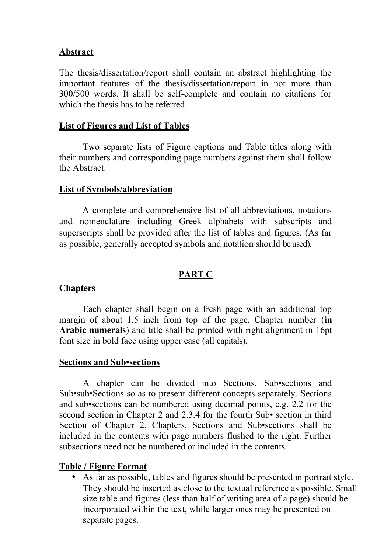#### **Abstract**

The thesis/dissertation/report shall contain an abstract highlighting the important features of the thesis/dissertation/report in not more than 300/500 words. It shall be self-complete and contain no citations for which the thesis has to be referred.

#### **List of Figures and List of Tables**

Two separate lists of Figure captions and Table titles along with their numbers and corresponding page numbers against them shall follow the Abstract.

#### **List of Symbols/abbreviation**

A complete and comprehensive list of all abbreviations, notations and nomenclature including Greek alphabets with subscripts and superscripts shall be provided after the list of tables and figures. (As far as possible, generally accepted symbols and notation should be used).

#### **PART C**

#### **Chapters**

Each chapter shall begin on a fresh page with an additional top margin of about 1.5 inch from top of the page. Chapter number (**in Arabic numerals**) and title shall be printed with right alignment in 16pt font size in bold face using upper case (all capitals).

#### **Sections and Sub•sections**

A chapter can be divided into Sections, Sub•sections and Sub•sub•Sections so as to present different concepts separately. Sections and sub•sections can be numbered using decimal points, e.g. 2.2 for the second section in Chapter 2 and 2.3.4 for the fourth Sub• section in third Section of Chapter 2. Chapters, Sections and Sub•sections shall be included in the contents with page numbers flushed to the right. Further subsections need not be numbered or included in the contents.

#### **Table / Figure Format**

• As far as possible, tables and figures should be presented in portrait style. They should be inserted as close to the textual reference as possible. Small size table and figures (less than half of writing area of a page) should be incorporated within the text, while larger ones may be presented on separate pages.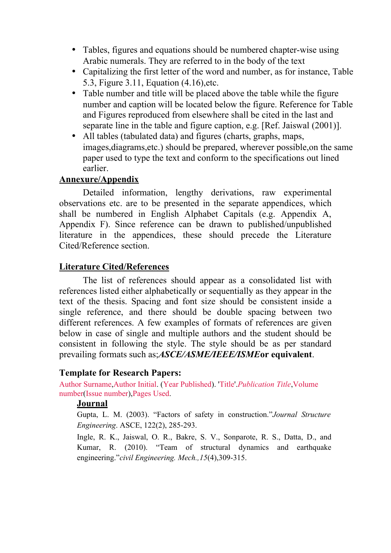- Tables, figures and equations should be numbered chapter-wise using Arabic numerals. They are referred to in the body of the text
- Capitalizing the first letter of the word and number, as for instance, Table 5.3, Figure 3.11, Equation (4.16),etc.
- Table number and title will be placed above the table while the figure number and caption will be located below the figure. Reference for Table and Figures reproduced from elsewhere shall be cited in the last and separate line in the table and figure caption, e.g. [Ref. Jaiswal (2001)].
- All tables (tabulated data) and figures (charts, graphs, maps, images,diagrams,etc.) should be prepared, wherever possible,on the same paper used to type the text and conform to the specifications out lined earlier.

#### **Annexure/Appendix**

Detailed information, lengthy derivations, raw experimental observations etc. are to be presented in the separate appendices, which shall be numbered in English Alphabet Capitals (e.g. Appendix A, Appendix F). Since reference can be drawn to published/unpublished literature in the appendices, these should precede the Literature Cited/Reference section.

#### **Literature Cited/References**

The list of references should appear as a consolidated list with references listed either alphabetically or sequentially as they appear in the text of the thesis. Spacing and font size should be consistent inside a single reference, and there should be double spacing between two different references. A few examples of formats of references are given below in case of single and multiple authors and the student should be consistent in following the style. The style should be as per standard prevailing formats such as;*ASCE/ASME/IEEE/ISME***or equivalent**.

#### **Template for Research Papers:**

Author Surname,Author Initial. (Year Published). 'Title'.*Publication Title*,Volume number(Issue number),Pages Used.

#### **Journal**

Gupta, L. M. (2003). "Factors of safety in construction."*Journal Structure Engineering*. ASCE, 122(2), 285-293.

Ingle, R. K., Jaiswal, O. R., Bakre, S. V., Sonparote, R. S., Datta, D., and Kumar, R. (2010). "Team of structural dynamics and earthquake engineering."*civil Engineering. Mech.,15*(4),309-315.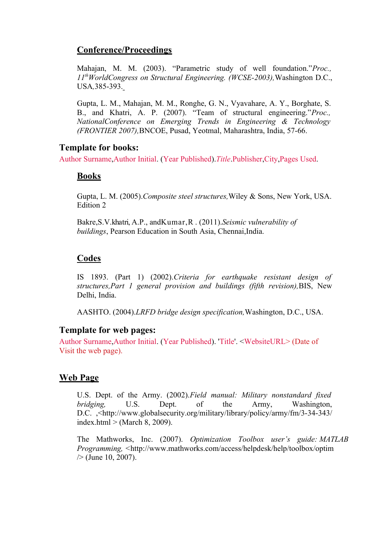#### **Conference/Proceedings**

Mahajan, M. M. (2003). "Parametric study of well foundation."*Proc., 11thWorldCongress on Structural Engineering. (WCSE-2003),*Washington D.C., USA*,*385-393.

Gupta, L. M., Mahajan, M. M., Ronghe, G. N., Vyavahare, A. Y., Borghate, S. B., and Khatri, A. P. (2007). "Team of structural engineering."*Proc., NationalConference on Emerging Trends in Engineering & Technology (FRONTIER 2007),*BNCOE, Pusad, Yeotmal, Maharashtra, India, 57-66.

#### **Template for books:**

Author Surname,Author Initial. (Year Published).*Title*.Publisher,City,Pages Used.

#### **Books**

Gupta, L. M. (2005).*Composite steel structures,*Wiley & Sons, New York, USA. Edition 2

Bakre,S.V.khatri, A.P., andKumar,R . (2011).*Seismic vulnerability of buildings*, Pearson Education in South Asia, Chennai,India.

#### **Codes**

IS 1893. (Part 1) (2002).*Criteria for earthquake resistant design of structures,Part 1 general provision and buildings (fifth revision),*BIS, New Delhi, India.

AASHTO. (2004).*LRFD bridge design specification,*Washington, D.C., USA.

#### **Template for web pages:**

Author Surname,Author Initial. (Year Published). 'Title'. [<WebsiteU](http://Website/)RL> (Date of Visit the web page).

#### **Web Page**

U.S. Dept. of the Army. (2002).*Field manual: Military nonstandard fixed bridging,* U.S. Dept. of the Army, Washington, D.C. [,<http://www.globalsecurity.org/military/library/policy/army/fm/3-34-3](http://www.globalsecurity.org/military/library/policy/army/fm/3-34-)43/ index.html  $>$  (March 8, 2009).

The Mathworks, Inc. (2007). *Optimization Toolbox user's guide: MATLAB Programming, <*<http://www.mathworks.com/access/helpdesk/help/toolbox/optim>  $\frac{1}{2}$  (June 10, 2007).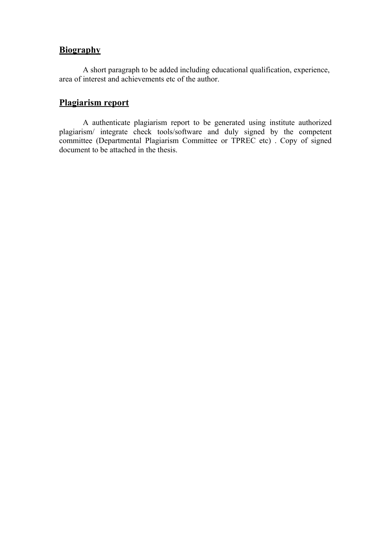#### **Biography**

A short paragraph to be added including educational qualification, experience, area of interest and achievements etc of the author.

#### **Plagiarism report**

A authenticate plagiarism report to be generated using institute authorized plagiarism/ integrate check tools/software and duly signed by the competent committee (Departmental Plagiarism Committee or TPREC etc) . Copy of signed document to be attached in the thesis.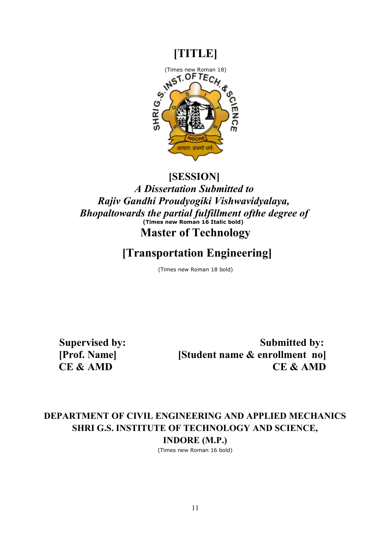## **[TITLE]**



#### **[SESSION]**

#### *A Dissertation Submitted to Rajiv Gandhi Proudyogiki Vishwavidyalaya, Bhopaltowards the partial fulfillment ofthe degree of* **(Times new Roman 16 Italic bold) Master of Technology**

## **[Transportation Engineering]**

(Times new Roman 18 bold)

**Supervised by: Submitted by: [Prof. Name] [Student name & enrollment no] CE & AMD CE & AMD**

**DEPARTMENT OF CIVIL ENGINEERING AND APPLIED MECHANICS SHRI G.S. INSTITUTE OF TECHNOLOGY AND SCIENCE, INDORE (M.P.)**

(Times new Roman 16 bold)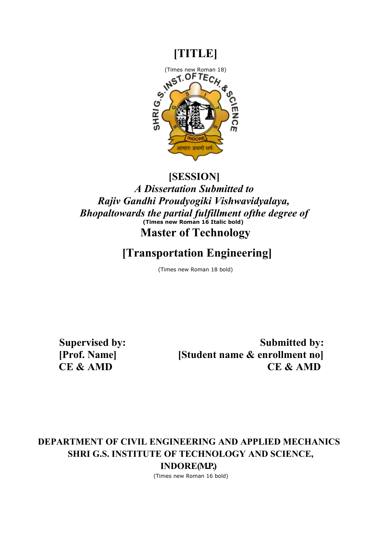## **[TITLE]**



#### **[SESSION]**

#### *A Dissertation Submitted to Rajiv Gandhi Proudyogiki Vishwavidyalaya, Bhopaltowards the partial fulfillment ofthe degree of* **(Times new Roman 16 Italic bold) Master of Technology**

## **[Transportation Engineering]**

(Times new Roman 18 bold)

**Supervised by: Submitted by: [Prof. Name] [Student name & enrollment no] CE & AMD CE & AMD**

#### **DEPARTMENT OF CIVIL ENGINEERING AND APPLIED MECHANICS SHRI G.S. INSTITUTE OF TECHNOLOGY AND SCIENCE, INDORE(M.P.)**

(Times new Roman 16 bold)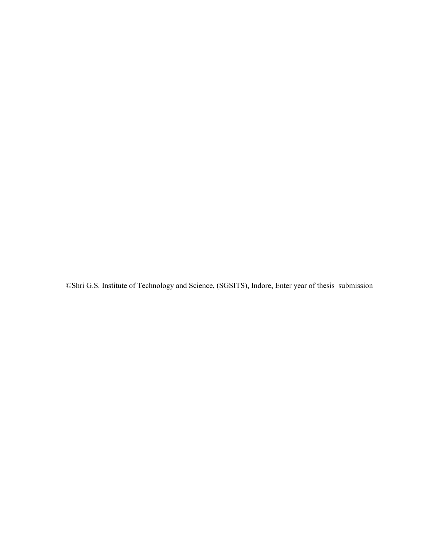©Shri G.S. Institute of Technology and Science, (SGSITS), Indore, Enter year of thesis submission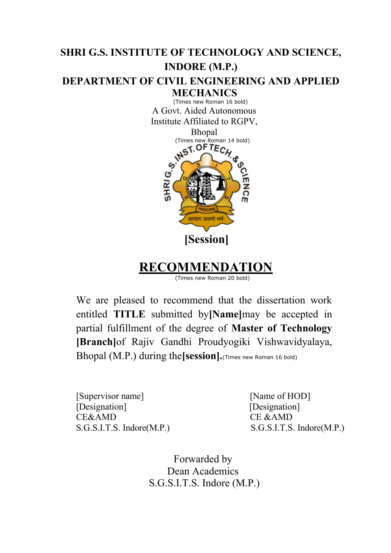#### **SHRI G.S. INSTITUTE OF TECHNOLOGY AND SCIENCE, INDORE (M.P.) DEPARTMENT OF CIVIL ENGINEERING AND APPLIED MECHANICS** (Times new Roman 16 bold) A Govt. Aided Autonomous

Institute Affiliated to RGPV, Bhopal (Times new Roman 14 bold) **SHRIG** आचारः प्रथमो धर्म **[Session]**

**RECOMMENDATION** (Times new Roman 20 bold)

We are pleased to recommend that the dissertation work entitled **TITLE** submitted by**[Name]**may be accepted in partial fulfillment of the degree of **Master of Technology [Branch]**of Rajiv Gandhi Proudyogiki Vishwavidyalaya, Bhopal (M.P.) during the**[session].**(Times new Roman 16 bold)

[Supervisor name] [Name of HOD] [Designation] [Designation] CE&AMD CE &AMD S.G.S.I.T.S. Indore(M.P.) S.G.S.I.T.S. Indore(M.P.)

Forwarded by Dean Academics S.G.S.I.T.S. Indore (M.P.)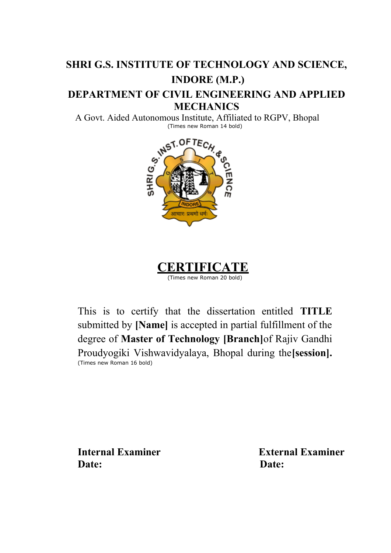## **SHRI G.S. INSTITUTE OF TECHNOLOGY AND SCIENCE, INDORE (M.P.)**

# **DEPARTMENT OF CIVIL ENGINEERING AND APPLIED**

A Govt. Aided Autonomous Institute, Affiliated to RGPV, Bhopal (Times new Roman 14 bold)





This is to certify that the dissertation entitled **TITLE** submitted by **[Name]** is accepted in partial fulfillment of the degree of **Master of Technology [Branch]**of Rajiv Gandhi Proudyogiki Vishwavidyalaya, Bhopal during the**[session].** (Times new Roman 16 bold)

**Date: Date:**

**Internal Examiner External Examiner**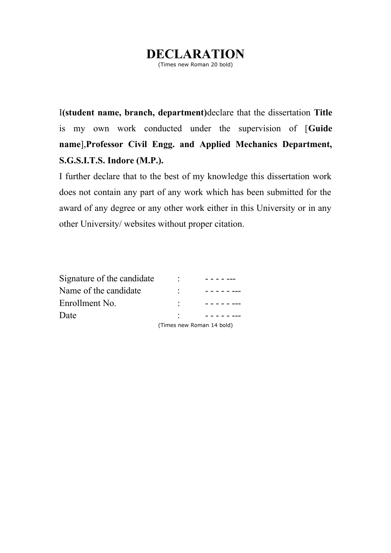## **DECLARATION**

(Times new Roman 20 bold)

I**(student name, branch, department)**declare that the dissertation **Title** is my own work conducted under the supervision of [**Guide name**],**Professor Civil Engg. and Applied Mechanics Department, S.G.S.I.T.S. Indore (M.P.).**

I further declare that to the best of my knowledge this dissertation work does not contain any part of any work which has been submitted for the award of any degree or any other work either in this University or in any other University/ websites without proper citation.

| Signature of the candidate |                           |  |
|----------------------------|---------------------------|--|
| Name of the candidate      |                           |  |
| Enrollment No.             |                           |  |
| Date                       |                           |  |
|                            | (Times new Roman 14 bold) |  |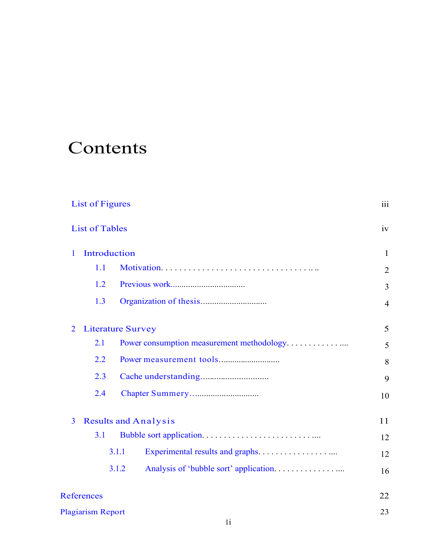# <span id="page-15-1"></span>Contents

<span id="page-15-0"></span>

| <b>List of Figures</b>                     | iii            |
|--------------------------------------------|----------------|
| <b>List of Tables</b>                      | iv             |
| Introduction<br>1                          | $\mathbf{1}$   |
| 1.1                                        | $\overline{2}$ |
| 1.2                                        | 3              |
| 1.3                                        | $\overline{4}$ |
| <b>Literature Survey</b><br>$\overline{2}$ | 5              |
| 2.1                                        | 5              |
| 2.2                                        | 8              |
| 2.3                                        | 9              |
| 2.4                                        | 10             |
| <b>Results and Analysis</b><br>3           | 11             |
| 3.1                                        | 12             |
| 3.1.1                                      | 12             |
| 3.1.2                                      | 16             |
| <b>References</b>                          | 22             |
| <b>Plagiarism Report</b>                   | 23             |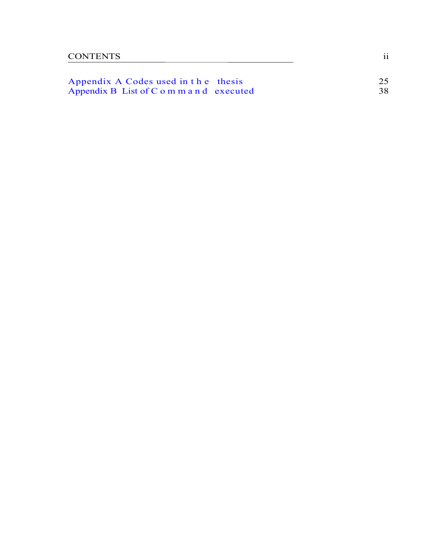| Appendix A Codes used in the thesis       |  |
|-------------------------------------------|--|
| Appendix B List of C o m m a n d executed |  |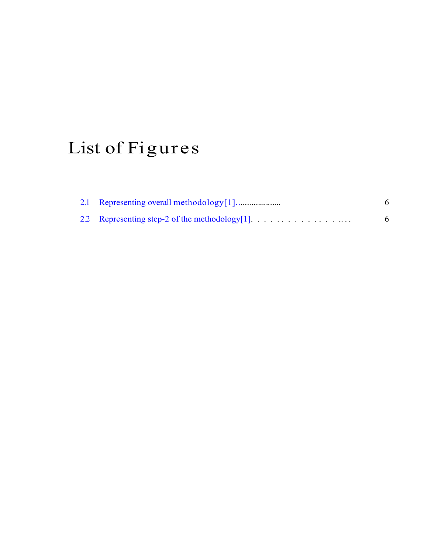# <span id="page-17-0"></span>List of Figures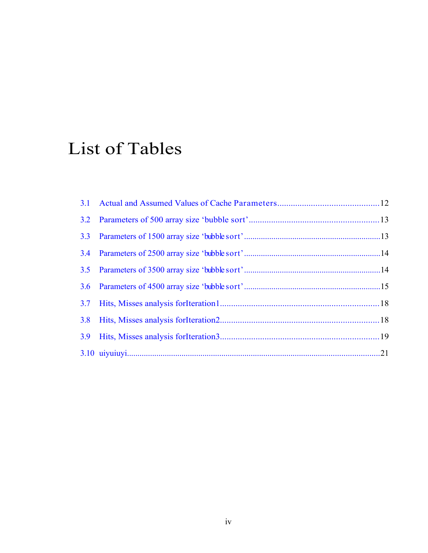# <span id="page-18-0"></span>List of Tables

| 3.3 |  |
|-----|--|
|     |  |
|     |  |
|     |  |
|     |  |
|     |  |
|     |  |
|     |  |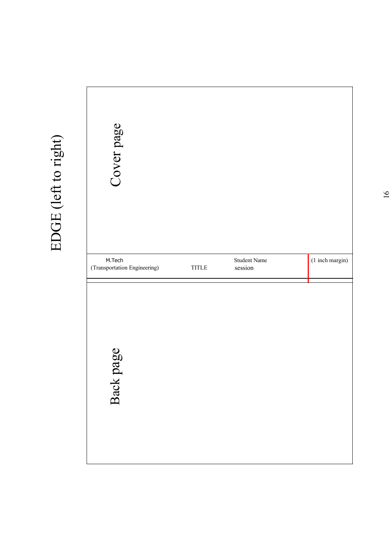# EDGE (left to right) EDGE (left to right)

| Cover page                             |                                                                                                                       |                         |                 |
|----------------------------------------|-----------------------------------------------------------------------------------------------------------------------|-------------------------|-----------------|
| M.Tech<br>(Transportation Engineering) | $\ensuremath{\mathsf{T}}\ensuremath{\mathsf{T}}\ensuremath{\mathsf{T}}\ensuremath{\mathsf{L}}\ensuremath{\mathsf{E}}$ | Student Name<br>session | (1 inch margin) |
| Back page                              |                                                                                                                       |                         |                 |

16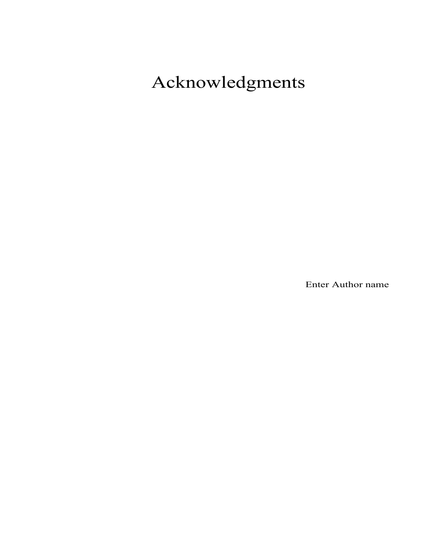# Acknowledgments

Enter Author name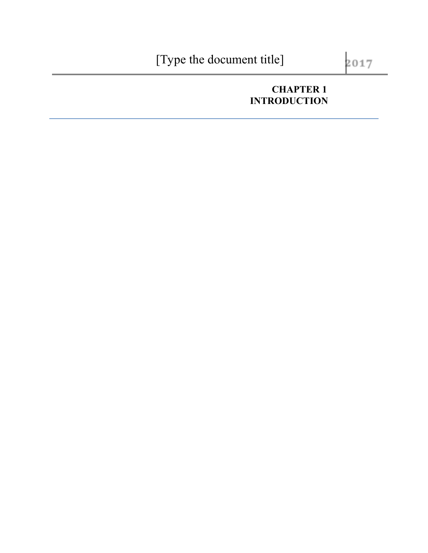## **CHAPTER 1 INTRODUCTION**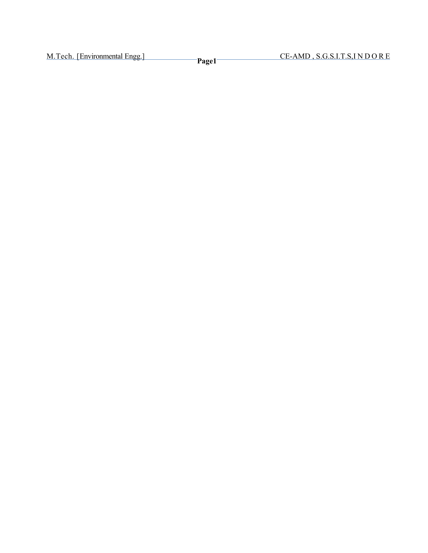M.Tech. [Environmental Engg.] **Page1**

CE-AMD , S.G.S.I.T.S, I N D O R E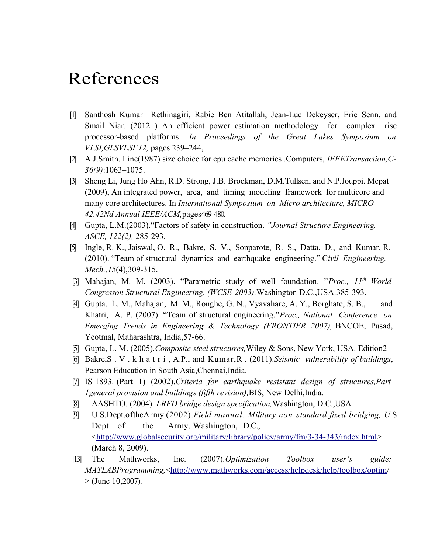## References

- <span id="page-26-0"></span>[1] Santhosh Kumar Rethinagiri, Rabie Ben Atitallah, Jean-Luc Dekeyser, Eric Senn, and Smail Niar. (2012) An efficient power estimation methodology for complex rise processor-based platforms. *In Proceedings of the Great Lakes Symposium on VLSI,GLSVLSI'12,* pages 239–244,
- [2] A.J.Smith. Line(1987) size choice for cpu cache memories .Computers, *IEEETransaction,C-36(9)*:1063–1075.
- [3] Sheng Li, Jung Ho Ahn, R.D. Strong, J.B. Brockman, D.M.Tullsen, and N.P.Jouppi. Mcpat (2009), An integrated power, area, and timing modeling framework for multicore and many core architectures. In *International Symposium on Micro architecture, MICRO-42.42Nd Annual IEEE/ACM,*pages469–480,
- [4] Gupta, L.M.(2003)."Factors of safety in construction. *"Journal Structure Engineering. ASCE, 122(2),* 285-293.
- [5] Ingle, R. K., Jaiswal, O. R., Bakre, S. V., Sonparote, R. S., Datta, D., and Kumar, R. (2010). "Team of structural dynamics and earthquake engineering." C*ivil Engineering. Mech.,15*(4),309-315.
- [3] Mahajan, M. M. (2003). "Parametric study of well foundation. "*Proc., 11th World Congresson Structural Engineering. (WCSE-2003),*Washington D.C.,USA*,*385-393.
- [4] Gupta, L. M., Mahajan, M. M., Ronghe, G. N., Vyavahare, A. Y., Borghate, S. B., and Khatri, A. P. (2007). "Team of structural engineering."*Proc., National Conference on Emerging Trends in Engineering & Technology (FRONTIER 2007), BNCOE, Pusad,* Yeotmal, Maharashtra, India,57-66.
- [5] Gupta, L. M. (2005).*Composite steel structures,*Wiley & Sons, New York, USA. Edition2
- [6] Bakre,S . V . k h a t r i , A.P., and Kumar,R . (2011).*Seismic vulnerability of buildings*, Pearson Education in South Asia,Chennai,India.
- [7] IS 1893. (Part 1) (2002).*Criteria for earthquake resistant design of structures,Part 1general provision and buildings (fifth revision),*BIS, New Delhi,India.
- [8] AASHTO. (2004). *LRFD bridge design specification,*Washington, D.C.,USA
- [9] U.S.Dept.oftheArmy.(2002).*Field manual: Military non standard fixed bridging, U*.S Dept of the Army, Washington, D.C., [<http://www.globalsecurity.org/military/library/policy/army/fm/3-34-343/index.html>](http://www.globalsecurity.org/military/library/policy/army/fm/3-34-343/index.html) (March 8, 2009).
- [13] The Mathworks, Inc. (2007).*Optimization Toolbox user's guide: MATLABProgramming,*[<http://www.mathworks.com/access/helpdesk/help/toolbox/optim/](http://www.mathworks.com/access/helpdesk/help/toolbox/optim)  $>$  (June 10,2007).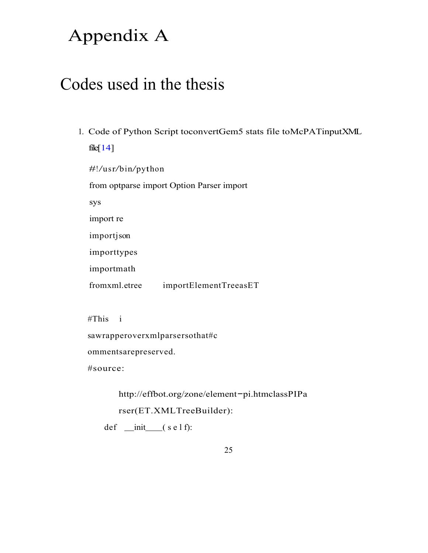# <span id="page-27-0"></span>Appendix A

## Codes used in the thesis

1. Code of Python Script toconvertGem5 stats file toMcPATinputXML file $[14]$ 

#!/usr/bin/python from optparse import Option Parser import sys import re importjson importtypes importmath fromxml.etree importElementTreeasET

#This i

sawrapperoverxmlparsersothat#c

ommentsarepreserved.

#source:

http://effbot.org/zone/element−pi.htmclassPIPa

rser(ET.XMLTreeBuilder):

def  $\text{unit}$  (self):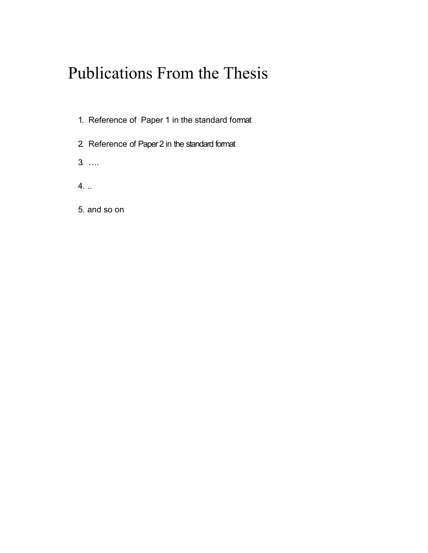# Publications From the Thesis

- 1. Reference of Paper 1 in the standard format
- 2. Reference of Paper 2 in the standard format
- 3. ….
- 4. ..
- 5. and so on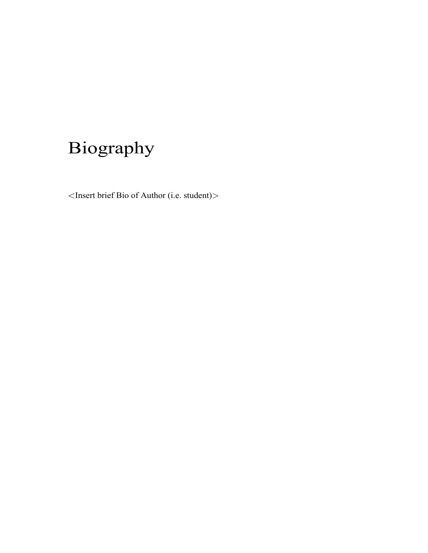# Biography

<Insert brief Bio of Author (i.e. student)>